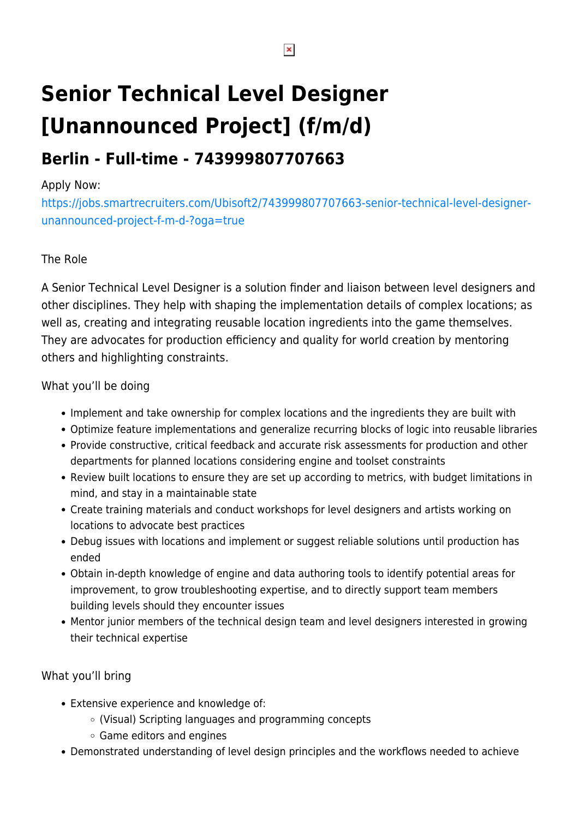# **Senior Technical Level Designer [Unannounced Project] (f/m/d)**

# **Berlin - Full-time - 743999807707663**

### Apply Now:

[https://jobs.smartrecruiters.com/Ubisoft2/743999807707663-senior-technical-level-designer](https://jobs.smartrecruiters.com/Ubisoft2/743999807707663-senior-technical-level-designer-unannounced-project-f-m-d-?oga=true)[unannounced-project-f-m-d-?oga=true](https://jobs.smartrecruiters.com/Ubisoft2/743999807707663-senior-technical-level-designer-unannounced-project-f-m-d-?oga=true)

# The Role

A Senior Technical Level Designer is a solution finder and liaison between level designers and other disciplines. They help with shaping the implementation details of complex locations; as well as, creating and integrating reusable location ingredients into the game themselves. They are advocates for production efficiency and quality for world creation by mentoring others and highlighting constraints.

## What you'll be doing

- Implement and take ownership for complex locations and the ingredients they are built with
- Optimize feature implementations and generalize recurring blocks of logic into reusable libraries
- Provide constructive, critical feedback and accurate risk assessments for production and other departments for planned locations considering engine and toolset constraints
- Review built locations to ensure they are set up according to metrics, with budget limitations in mind, and stay in a maintainable state
- Create training materials and conduct workshops for level designers and artists working on locations to advocate best practices
- Debug issues with locations and implement or suggest reliable solutions until production has ended
- Obtain in-depth knowledge of engine and data authoring tools to identify potential areas for improvement, to grow troubleshooting expertise, and to directly support team members building levels should they encounter issues
- Mentor junior members of the technical design team and level designers interested in growing their technical expertise

#### What you'll bring

- Extensive experience and knowledge of:
	- (Visual) Scripting languages and programming concepts
	- Game editors and engines
- Demonstrated understanding of level design principles and the workflows needed to achieve

 $\pmb{\times}$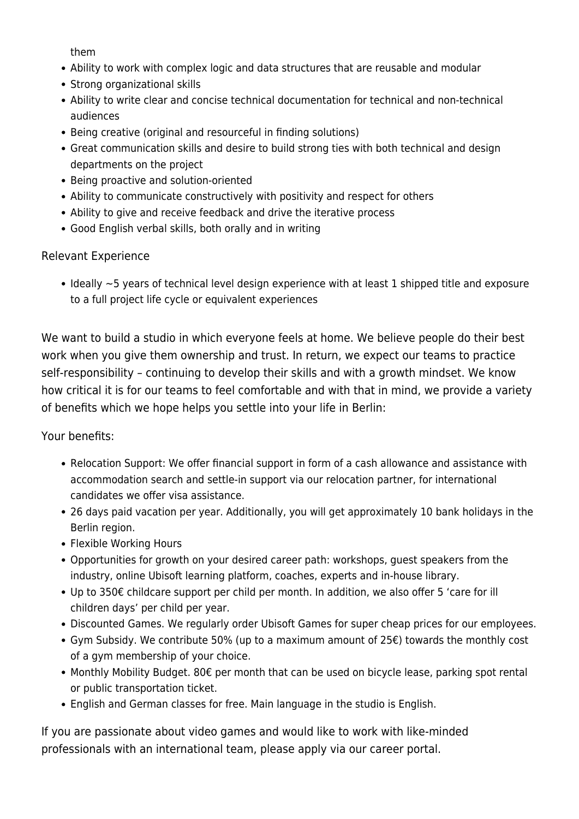them

- Ability to work with complex logic and data structures that are reusable and modular
- Strong organizational skills
- Ability to write clear and concise technical documentation for technical and non-technical audiences
- Being creative (original and resourceful in finding solutions)
- Great communication skills and desire to build strong ties with both technical and design departments on the project
- Being proactive and solution-oriented
- Ability to communicate constructively with positivity and respect for others
- Ability to give and receive feedback and drive the iterative process
- Good English verbal skills, both orally and in writing

#### Relevant Experience

 $\bullet$  Ideally  $\sim$ 5 years of technical level design experience with at least 1 shipped title and exposure to a full project life cycle or equivalent experiences

We want to build a studio in which everyone feels at home. We believe people do their best work when you give them ownership and trust. In return, we expect our teams to practice self-responsibility – continuing to develop their skills and with a growth mindset. We know how critical it is for our teams to feel comfortable and with that in mind, we provide a variety of benefits which we hope helps you settle into your life in Berlin:

Your benefits:

- Relocation Support: We offer financial support in form of a cash allowance and assistance with accommodation search and settle-in support via our relocation partner, for international candidates we offer visa assistance.
- 26 days paid vacation per year. Additionally, you will get approximately 10 bank holidays in the Berlin region.
- Flexible Working Hours
- Opportunities for growth on your desired career path: workshops, guest speakers from the industry, online Ubisoft learning platform, coaches, experts and in-house library.
- Up to 350€ childcare support per child per month. In addition, we also offer 5 'care for ill children days' per child per year.
- Discounted Games. We regularly order Ubisoft Games for super cheap prices for our employees.
- Gym Subsidy. We contribute 50% (up to a maximum amount of 25€) towards the monthly cost of a gym membership of your choice.
- Monthly Mobility Budget. 80€ per month that can be used on bicycle lease, parking spot rental or public transportation ticket.
- English and German classes for free. Main language in the studio is English.

If you are passionate about video games and would like to work with like-minded professionals with an international team, please apply via our career portal.